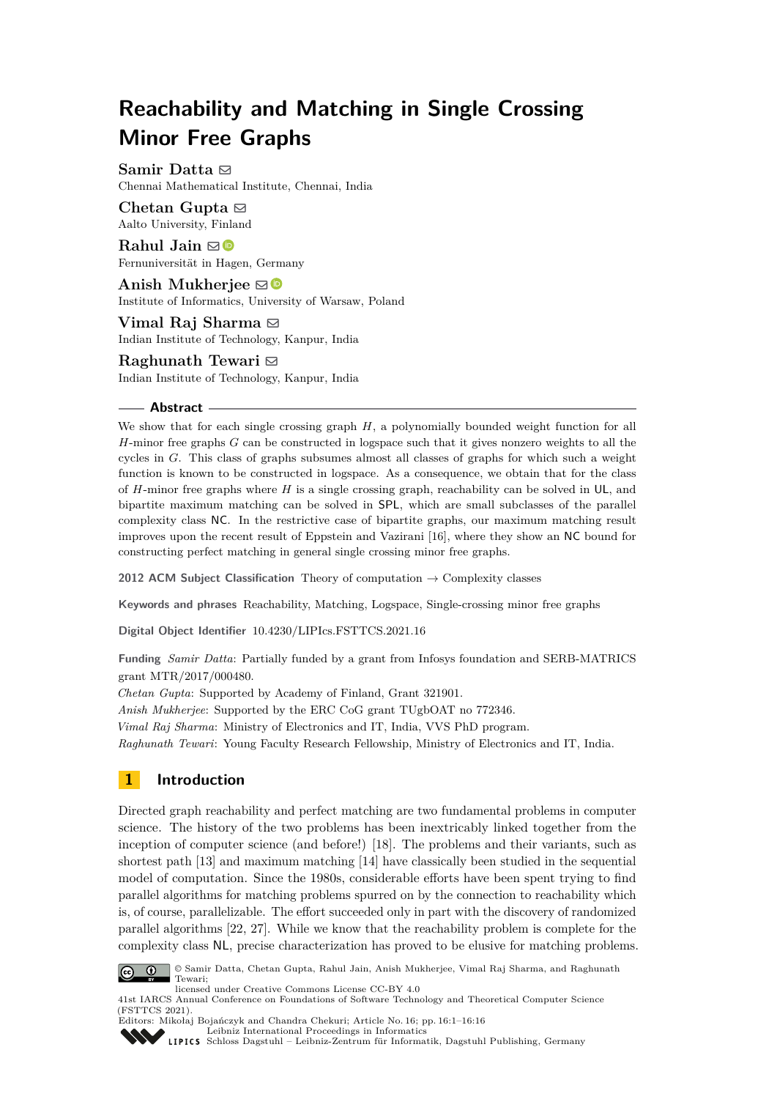# **Reachability and Matching in Single Crossing Minor Free Graphs**

**Samir Datta** [#](mailto:sdatta@cmi.ac.in)

Chennai Mathematical Institute, Chennai, India

**Chetan Gupta**  $\boxtimes$ Aalto University, Finland

**Rahul Jain** ⊠<sup>■</sup> Fernuniversität in Hagen, Germany

Anish Mukherjee  $\boxtimes$ Institute of Informatics, University of Warsaw, Poland

**Vimal Raj Sharma** ⊠ Indian Institute of Technology, Kanpur, India

**Raghunath Tewari** ⊠ Indian Institute of Technology, Kanpur, India

#### **Abstract**

We show that for each single crossing graph *H*, a polynomially bounded weight function for all *H*-minor free graphs *G* can be constructed in logspace such that it gives nonzero weights to all the cycles in *G*. This class of graphs subsumes almost all classes of graphs for which such a weight function is known to be constructed in logspace. As a consequence, we obtain that for the class of *H*-minor free graphs where *H* is a single crossing graph, reachability can be solved in UL, and bipartite maximum matching can be solved in SPL, which are small subclasses of the parallel complexity class NC. In the restrictive case of bipartite graphs, our maximum matching result improves upon the recent result of Eppstein and Vazirani [\[16\]](#page-14-0), where they show an NC bound for constructing perfect matching in general single crossing minor free graphs.

**2012 ACM Subject Classification** Theory of computation → Complexity classes

**Keywords and phrases** Reachability, Matching, Logspace, Single-crossing minor free graphs

**Digital Object Identifier** [10.4230/LIPIcs.FSTTCS.2021.16](https://doi.org/10.4230/LIPIcs.FSTTCS.2021.16)

**Funding** *Samir Datta*: Partially funded by a grant from Infosys foundation and SERB-MATRICS grant MTR/2017/000480.

*Chetan Gupta*: Supported by Academy of Finland, Grant 321901.

*Anish Mukherjee*: Supported by the ERC CoG grant TUgbOAT no 772346.

*Vimal Raj Sharma*: Ministry of Electronics and IT, India, VVS PhD program.

*Raghunath Tewari*: Young Faculty Research Fellowship, Ministry of Electronics and IT, India.

# **1 Introduction**

Directed graph reachability and perfect matching are two fundamental problems in computer science. The history of the two problems has been inextricably linked together from the inception of computer science (and before!) [\[18\]](#page-14-1). The problems and their variants, such as shortest path [\[13\]](#page-14-2) and maximum matching [\[14\]](#page-14-3) have classically been studied in the sequential model of computation. Since the 1980s, considerable efforts have been spent trying to find parallel algorithms for matching problems spurred on by the connection to reachability which is, of course, parallelizable. The effort succeeded only in part with the discovery of randomized parallel algorithms [\[22,](#page-15-0) [27\]](#page-15-1). While we know that the reachability problem is complete for the complexity class NL, precise characterization has proved to be elusive for matching problems.

licensed under Creative Commons License CC-BY 4.0

Editors: Mikołaj Bojańczyk and Chandra Chekuri; Article No. 16; pp. 16:1–16:16

<sup>©</sup> Samir Datta, Chetan Gupta, Rahul Jain, Anish Mukherjee, Vimal Raj Sharma, and Raghunath  $\boxed{6}$  0 Tewari;

<sup>41</sup>st IARCS Annual Conference on Foundations of Software Technology and Theoretical Computer Science (FSTTCS 2021).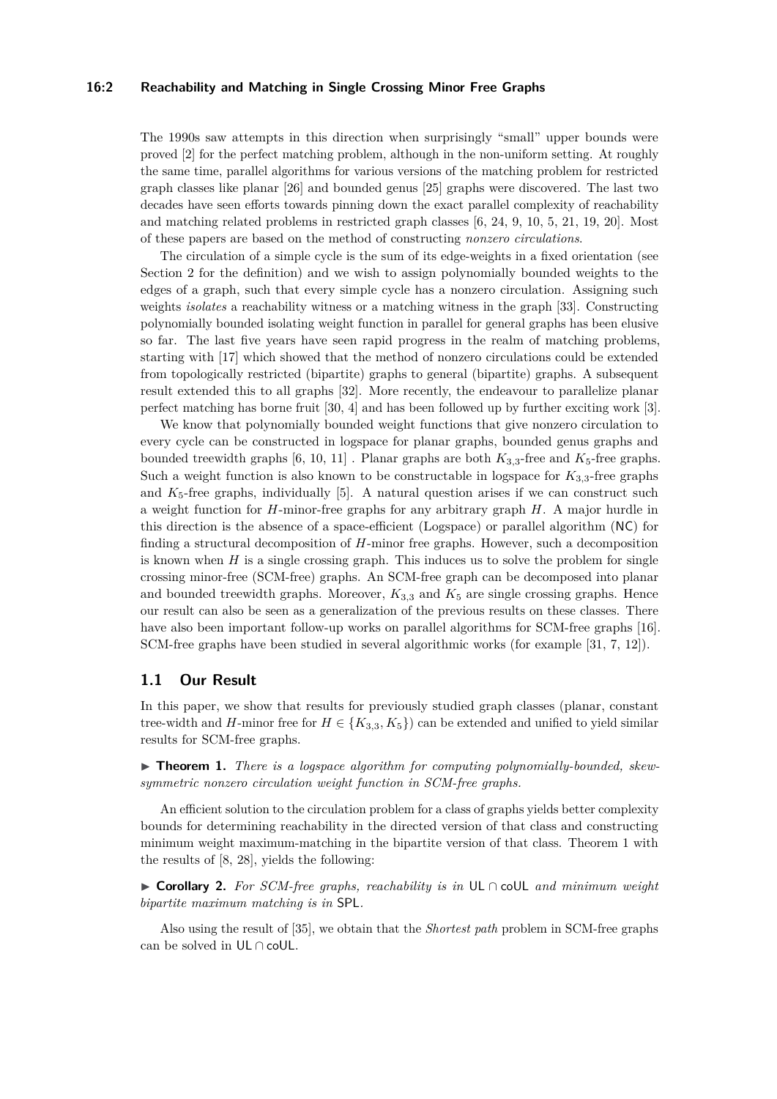#### **16:2 Reachability and Matching in Single Crossing Minor Free Graphs**

The 1990s saw attempts in this direction when surprisingly "small" upper bounds were proved [\[2\]](#page-13-0) for the perfect matching problem, although in the non-uniform setting. At roughly the same time, parallel algorithms for various versions of the matching problem for restricted graph classes like planar [\[26\]](#page-15-2) and bounded genus [\[25\]](#page-15-3) graphs were discovered. The last two decades have seen efforts towards pinning down the exact parallel complexity of reachability and matching related problems in restricted graph classes [\[6,](#page-14-4) [24,](#page-15-4) [9,](#page-14-5) [10,](#page-14-6) [5,](#page-14-7) [21,](#page-15-5) [19,](#page-14-8) [20\]](#page-14-9). Most of these papers are based on the method of constructing *nonzero circulations*.

The circulation of a simple cycle is the sum of its edge-weights in a fixed orientation (see Section [2](#page-2-0) for the definition) and we wish to assign polynomially bounded weights to the edges of a graph, such that every simple cycle has a nonzero circulation. Assigning such weights *isolates* a reachability witness or a matching witness in the graph [\[33\]](#page-15-6). Constructing polynomially bounded isolating weight function in parallel for general graphs has been elusive so far. The last five years have seen rapid progress in the realm of matching problems, starting with [\[17\]](#page-14-10) which showed that the method of nonzero circulations could be extended from topologically restricted (bipartite) graphs to general (bipartite) graphs. A subsequent result extended this to all graphs [\[32\]](#page-15-7). More recently, the endeavour to parallelize planar perfect matching has borne fruit [\[30,](#page-15-8) [4\]](#page-13-1) and has been followed up by further exciting work [\[3\]](#page-13-2).

We know that polynomially bounded weight functions that give nonzero circulation to every cycle can be constructed in logspace for planar graphs, bounded genus graphs and bounded treewidth graphs  $[6, 10, 11]$  $[6, 10, 11]$  $[6, 10, 11]$  $[6, 10, 11]$  $[6, 10, 11]$ . Planar graphs are both  $K_{3,3}$ -free and  $K_5$ -free graphs. Such a weight function is also known to be constructable in logspace for  $K_{3,3}$ -free graphs and  $K_5$ -free graphs, individually  $[5]$ . A natural question arises if we can construct such a weight function for *H*-minor-free graphs for any arbitrary graph *H*. A major hurdle in this direction is the absence of a space-efficient (Logspace) or parallel algorithm (NC) for finding a structural decomposition of *H*-minor free graphs. However, such a decomposition is known when *H* is a single crossing graph. This induces us to solve the problem for single crossing minor-free (SCM-free) graphs. An SCM-free graph can be decomposed into planar and bounded treewidth graphs. Moreover,  $K_{3,3}$  and  $K_5$  are single crossing graphs. Hence our result can also be seen as a generalization of the previous results on these classes. There have also been important follow-up works on parallel algorithms for SCM-free graphs [\[16\]](#page-14-0). SCM-free graphs have been studied in several algorithmic works (for example [\[31,](#page-15-9) [7,](#page-14-12) [12\]](#page-14-13)).

### **1.1 Our Result**

In this paper, we show that results for previously studied graph classes (planar, constant tree-width and *H*-minor free for  $H \in \{K_{3,3}, K_5\}$  can be extended and unified to yield similar results for SCM-free graphs.

<span id="page-1-0"></span>▶ **Theorem 1.** *There is a logspace algorithm for computing polynomially-bounded, skewsymmetric nonzero circulation weight function in SCM-free graphs.*

An efficient solution to the circulation problem for a class of graphs yields better complexity bounds for determining reachability in the directed version of that class and constructing minimum weight maximum-matching in the bipartite version of that class. Theorem [1](#page-1-0) with the results of [\[8,](#page-14-14) [28\]](#page-15-10), yields the following:

<span id="page-1-1"></span>▶ **Corollary 2.** *For SCM-free graphs, reachability is in* UL ∩ coUL *and minimum weight bipartite maximum matching is in* SPL*.*

Also using the result of [\[35\]](#page-15-11), we obtain that the *Shortest path* problem in SCM-free graphs can be solved in UL ∩ coUL.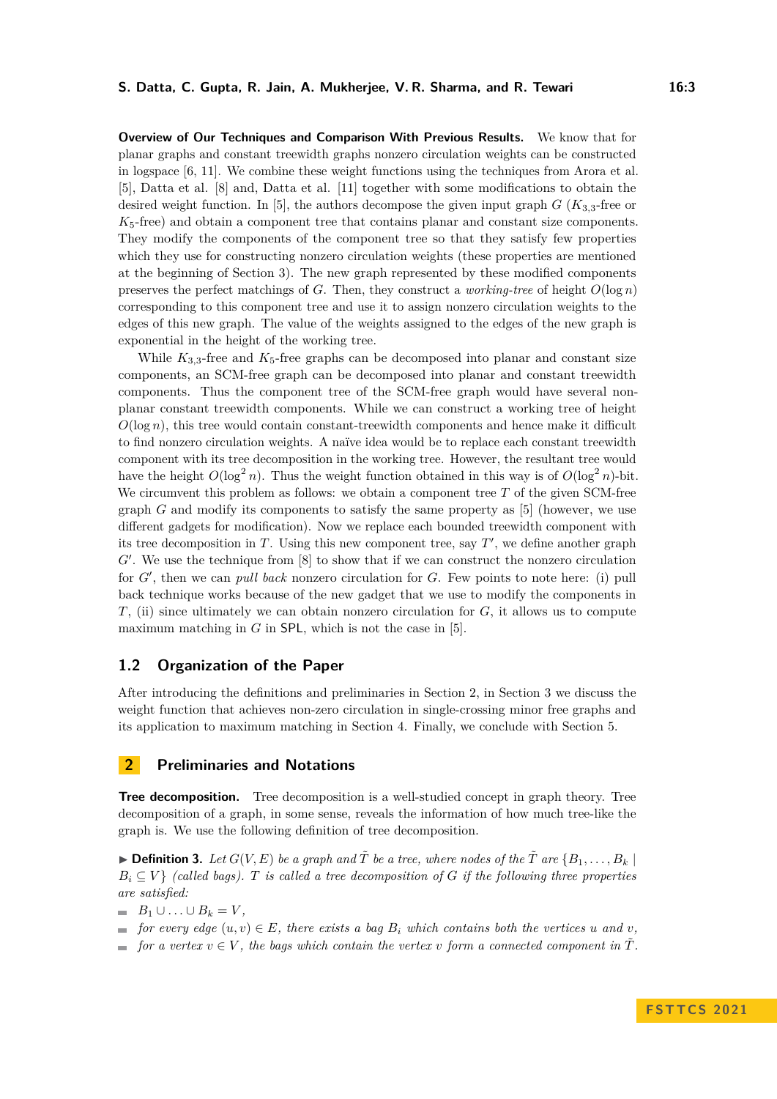**Overview of Our Techniques and Comparison With Previous Results.** We know that for planar graphs and constant treewidth graphs nonzero circulation weights can be constructed in logspace [\[6,](#page-14-4) [11\]](#page-14-11). We combine these weight functions using the techniques from Arora et al. [\[5\]](#page-14-7), Datta et al. [\[8\]](#page-14-14) and, Datta et al. [\[11\]](#page-14-11) together with some modifications to obtain the desired weight function. In [\[5\]](#page-14-7), the authors decompose the given input graph  $G$  ( $K_{3,3}$ -free or *K*5-free) and obtain a component tree that contains planar and constant size components. They modify the components of the component tree so that they satisfy few properties which they use for constructing nonzero circulation weights (these properties are mentioned at the beginning of Section [3\)](#page-4-0). The new graph represented by these modified components preserves the perfect matchings of *G*. Then, they construct a *working-tree* of height  $O(\log n)$ corresponding to this component tree and use it to assign nonzero circulation weights to the edges of this new graph. The value of the weights assigned to the edges of the new graph is exponential in the height of the working tree.

While  $K_{3,3}$ -free and  $K_5$ -free graphs can be decomposed into planar and constant size components, an SCM-free graph can be decomposed into planar and constant treewidth components. Thus the component tree of the SCM-free graph would have several nonplanar constant treewidth components. While we can construct a working tree of height  $O(\log n)$ , this tree would contain constant-treewidth components and hence make it difficult to find nonzero circulation weights. A naïve idea would be to replace each constant treewidth component with its tree decomposition in the working tree. However, the resultant tree would have the height  $O(\log^2 n)$ . Thus the weight function obtained in this way is of  $O(\log^2 n)$ -bit. We circumvent this problem as follows: we obtain a component tree T of the given SCM-free graph *G* and modify its components to satisfy the same property as [\[5\]](#page-14-7) (however, we use different gadgets for modification). Now we replace each bounded treewidth component with its tree decomposition in  $T$ . Using this new component tree, say  $T'$ , we define another graph G'. We use the technique from [\[8\]](#page-14-14) to show that if we can construct the nonzero circulation for *G*′ , then we can *pull back* nonzero circulation for *G*. Few points to note here: (i) pull back technique works because of the new gadget that we use to modify the components in *T*, (ii) since ultimately we can obtain nonzero circulation for *G*, it allows us to compute maximum matching in  $G$  in SPL, which is not the case in [\[5\]](#page-14-7).

## **1.2 Organization of the Paper**

After introducing the definitions and preliminaries in Section [2,](#page-2-0) in Section [3](#page-4-0) we discuss the weight function that achieves non-zero circulation in single-crossing minor free graphs and its application to maximum matching in Section [4.](#page-12-0) Finally, we conclude with Section [5.](#page-13-3)

## <span id="page-2-0"></span>**2 Preliminaries and Notations**

**Tree decomposition.** Tree decomposition is a well-studied concept in graph theory. Tree decomposition of a graph, in some sense, reveals the information of how much tree-like the graph is. We use the following definition of tree decomposition.

 $\blacktriangleright$  **Definition 3.** Let  $G(V, E)$  be a graph and  $\tilde{T}$  be a tree, where nodes of the  $\tilde{T}$  are  $\{B_1, \ldots, B_k\}$  $B_i \subseteq V$  *(called bags). T is called a tree decomposition of G if the following three properties are satisfied:*

 $B_1 \cup ... \cup B_k = V$ ,

- $\bullet$  *for every edge*  $(u, v) \in E$ *, there exists a bag*  $B_i$  *which contains both the vertices u and v,*
- $\bullet$  *for a vertex*  $v \in V$ , the bags which contain the vertex v form a connected component in  $\tilde{T}$ .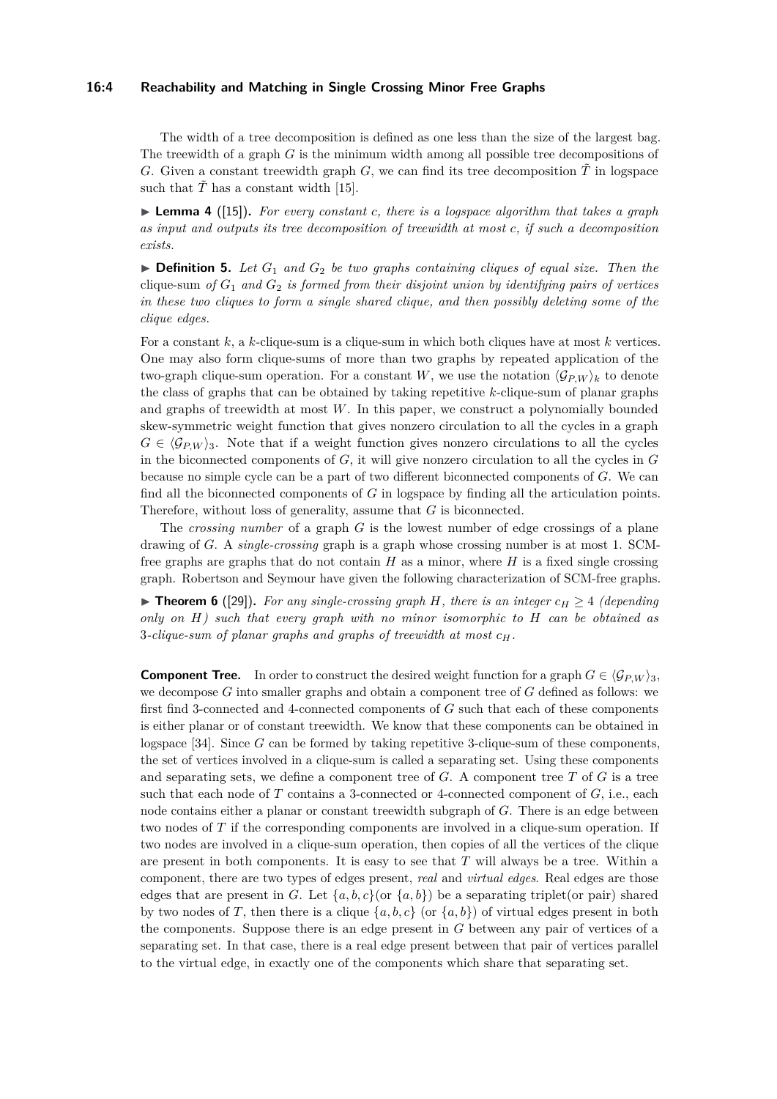#### **16:4 Reachability and Matching in Single Crossing Minor Free Graphs**

The width of a tree decomposition is defined as one less than the size of the largest bag. The treewidth of a graph *G* is the minimum width among all possible tree decompositions of *G*. Given a constant treewidth graph *G*, we can find its tree decomposition  $\tilde{T}$  in logspace such that  $\tilde{T}$  has a constant width [\[15\]](#page-14-15).

<span id="page-3-0"></span>▶ **Lemma 4** ([\[15\]](#page-14-15))**.** *For every constant c, there is a logspace algorithm that takes a graph as input and outputs its tree decomposition of treewidth at most c, if such a decomposition exists.*

 $\triangleright$  **Definition 5.** Let  $G_1$  and  $G_2$  be two graphs containing cliques of equal size. Then the clique-sum of  $G_1$  and  $G_2$  is formed from their disjoint union by identifying pairs of vertices *in these two cliques to form a single shared clique, and then possibly deleting some of the clique edges.*

For a constant *k*, a *k*-clique-sum is a clique-sum in which both cliques have at most *k* vertices. One may also form clique-sums of more than two graphs by repeated application of the two-graph clique-sum operation. For a constant *W*, we use the notation  $\langle \mathcal{G}_{P,W} \rangle_k$  to denote the class of graphs that can be obtained by taking repetitive *k*-clique-sum of planar graphs and graphs of treewidth at most *W*. In this paper, we construct a polynomially bounded skew-symmetric weight function that gives nonzero circulation to all the cycles in a graph  $G \in \langle \mathcal{G}_{P,W} \rangle$ <sub>3</sub>. Note that if a weight function gives nonzero circulations to all the cycles in the biconnected components of *G*, it will give nonzero circulation to all the cycles in *G* because no simple cycle can be a part of two different biconnected components of *G*. We can find all the biconnected components of *G* in logspace by finding all the articulation points. Therefore, without loss of generality, assume that *G* is biconnected.

The *crossing number* of a graph *G* is the lowest number of edge crossings of a plane drawing of *G*. A *single-crossing* graph is a graph whose crossing number is at most 1. SCMfree graphs are graphs that do not contain *H* as a minor, where *H* is a fixed single crossing graph. Robertson and Seymour have given the following characterization of SCM-free graphs.

▶ **Theorem 6** ([\[29\]](#page-15-12)). For any single-crossing graph *H*, there is an integer  $c_H \geq 4$  (depending *only on H) such that every graph with no minor isomorphic to H can be obtained as* 3*-clique-sum of planar graphs and graphs of treewidth at most cH.*

**Component Tree.** In order to construct the desired weight function for a graph  $G \in \langle \mathcal{G}_{P,W} \rangle_3$ , we decompose *G* into smaller graphs and obtain a component tree of *G* defined as follows: we first find 3-connected and 4-connected components of *G* such that each of these components is either planar or of constant treewidth. We know that these components can be obtained in logspace [\[34\]](#page-15-13). Since *G* can be formed by taking repetitive 3-clique-sum of these components, the set of vertices involved in a clique-sum is called a separating set. Using these components and separating sets, we define a component tree of *G*. A component tree *T* of *G* is a tree such that each node of  $T$  contains a 3-connected or 4-connected component of  $G$ , i.e., each node contains either a planar or constant treewidth subgraph of *G*. There is an edge between two nodes of *T* if the corresponding components are involved in a clique-sum operation. If two nodes are involved in a clique-sum operation, then copies of all the vertices of the clique are present in both components. It is easy to see that *T* will always be a tree. Within a component, there are two types of edges present, *real* and *virtual edges*. Real edges are those edges that are present in *G*. Let  $\{a, b, c\}$  (or  $\{a, b\}$ ) be a separating triplet(or pair) shared by two nodes of *T*, then there is a clique  $\{a, b, c\}$  (or  $\{a, b\}$ ) of virtual edges present in both the components. Suppose there is an edge present in *G* between any pair of vertices of a separating set. In that case, there is a real edge present between that pair of vertices parallel to the virtual edge, in exactly one of the components which share that separating set.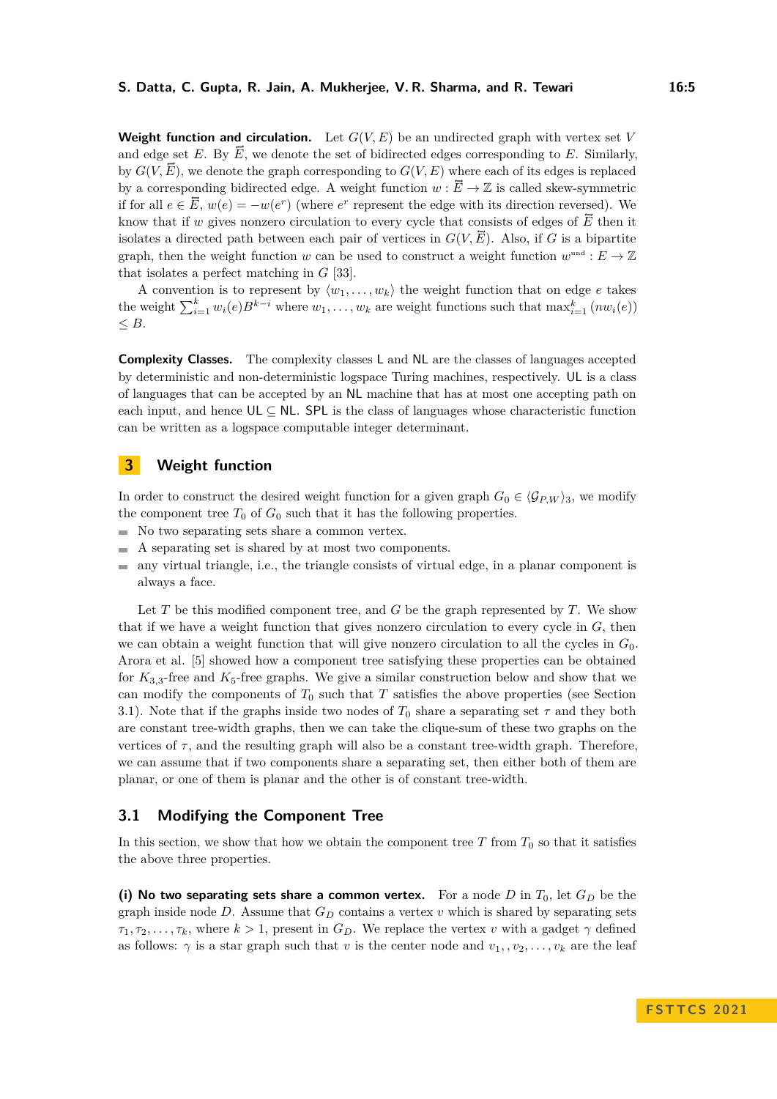**Weight function and circulation.** Let  $G(V, E)$  be an undirected graph with vertex set *V* and edge set *E*. By  $\vec{E}$ , we denote the set of bidirected edges corresponding to *E*. Similarly, by  $G(V, \vec{E})$ , we denote the graph corresponding to  $G(V, E)$  where each of its edges is replaced by a corresponding bidirected edge. A weight function  $w : \overline{E} \to \mathbb{Z}$  is called skew-symmetric if for all  $e \in \overline{E}$ ,  $w(e) = -w(e^r)$  (where  $e^r$  represent the edge with its direction reversed). We know that if *w* gives nonzero circulation to every cycle that consists of edges of  $\vec{E}$  then it isolates a directed path between each pair of vertices in  $G(V, \overline{E})$ . Also, if *G* is a bipartite graph, then the weight function *w* can be used to construct a weight function  $w^{\text{und}} : E \to \mathbb{Z}$ that isolates a perfect matching in *G* [\[33\]](#page-15-6).

A convention is to represent by  $\langle w_1, \ldots, w_k \rangle$  the weight function that on edge *e* takes the weight  $\sum_{i=1}^{k} w_i(e) B^{k-i}$  where  $w_1, \ldots, w_k$  are weight functions such that  $\max_{i=1}^{k} (nw_i(e))$ ≤ *B*.

**Complexity Classes.** The complexity classes L and NL are the classes of languages accepted by deterministic and non-deterministic logspace Turing machines, respectively. UL is a class of languages that can be accepted by an NL machine that has at most one accepting path on each input, and hence  $UL \subseteq NL$ . SPL is the class of languages whose characteristic function can be written as a logspace computable integer determinant.

## <span id="page-4-0"></span>**3 Weight function**

In order to construct the desired weight function for a given graph  $G_0 \in \langle \mathcal{G}_{P,W} \rangle_3$ , we modify the component tree  $T_0$  of  $G_0$  such that it has the following properties.

- $\blacksquare$  No two separating sets share a common vertex.
- A separating set is shared by at most two components.  $\blacksquare$
- any virtual triangle, i.e., the triangle consists of virtual edge, in a planar component is  $\sim$ always a face.

Let *T* be this modified component tree, and *G* be the graph represented by *T*. We show that if we have a weight function that gives nonzero circulation to every cycle in *G*, then we can obtain a weight function that will give nonzero circulation to all the cycles in  $G_0$ . Arora et al. [\[5\]](#page-14-7) showed how a component tree satisfying these properties can be obtained for  $K_{3,3}$ -free and  $K_5$ -free graphs. We give a similar construction below and show that we can modify the components of  $T_0$  such that  $T$  satisfies the above properties (see Section [3.1\)](#page-4-1). Note that if the graphs inside two nodes of  $T_0$  share a separating set  $\tau$  and they both are constant tree-width graphs, then we can take the clique-sum of these two graphs on the vertices of  $\tau$ , and the resulting graph will also be a constant tree-width graph. Therefore, we can assume that if two components share a separating set, then either both of them are planar, or one of them is planar and the other is of constant tree-width.

# <span id="page-4-1"></span>**3.1 Modifying the Component Tree**

In this section, we show that how we obtain the component tree  $T$  from  $T_0$  so that it satisfies the above three properties.

**(i) No two separating sets share a common vertex.** For a node *D* in  $T_0$ , let  $G_D$  be the graph inside node *D*. Assume that  $G_D$  contains a vertex *v* which is shared by separating sets  $\tau_1, \tau_2, \ldots, \tau_k$ , where  $k > 1$ , present in  $G_D$ . We replace the vertex *v* with a gadget  $\gamma$  defined as follows:  $\gamma$  is a star graph such that *v* is the center node and  $v_1, v_2, \ldots, v_k$  are the leaf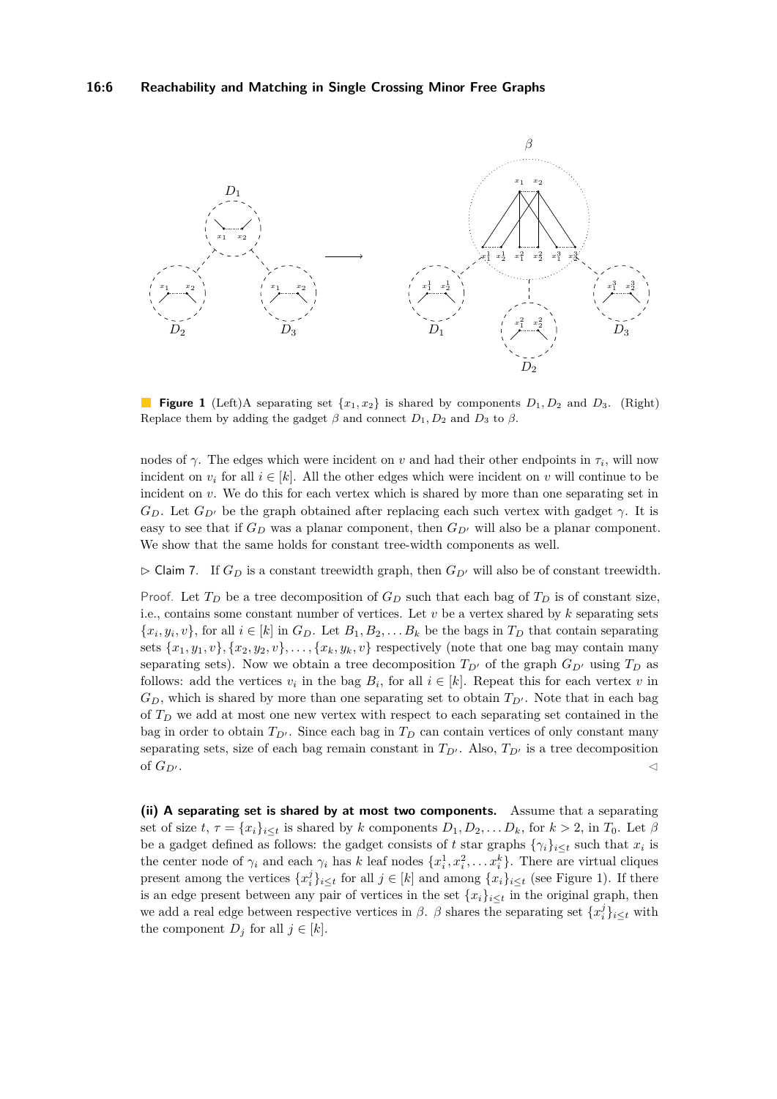<span id="page-5-0"></span>

**Figure 1** (Left)A separating set  $\{x_1, x_2\}$  is shared by components  $D_1, D_2$  and  $D_3$ . (Right) Replace them by adding the gadget  $\beta$  and connect  $D_1, D_2$  and  $D_3$  to  $\beta$ .

nodes of  $\gamma$ . The edges which were incident on *v* and had their other endpoints in  $\tau_i$ , will now incident on  $v_i$  for all  $i \in [k]$ . All the other edges which were incident on *v* will continue to be incident on *v*. We do this for each vertex which is shared by more than one separating set in  $G_D$ . Let  $G_{D'}$  be the graph obtained after replacing each such vertex with gadget *γ*. It is easy to see that if  $G_D$  was a planar component, then  $G_{D'}$  will also be a planar component. We show that the same holds for constant tree-width components as well.

 $\triangleright$  Claim 7. If  $G_D$  is a constant treewidth graph, then  $G_{D'}$  will also be of constant treewidth.

Proof. Let  $T_D$  be a tree decomposition of  $G_D$  such that each bag of  $T_D$  is of constant size, i.e., contains some constant number of vertices. Let  $v$  be a vertex shared by  $k$  separating sets  $\{x_i, y_i, v\}$ , for all  $i \in [k]$  in  $G_D$ . Let  $B_1, B_2, \ldots, B_k$  be the bags in  $T_D$  that contain separating sets  $\{x_1, y_1, v\}, \{x_2, y_2, v\}, \ldots, \{x_k, y_k, v\}$  respectively (note that one bag may contain many separating sets). Now we obtain a tree decomposition  $T_{D'}$  of the graph  $G_{D'}$  using  $T_D$  as follows: add the vertices  $v_i$  in the bag  $B_i$ , for all  $i \in [k]$ . Repeat this for each vertex  $v$  in  $G_D$ , which is shared by more than one separating set to obtain  $T_{D'}$ . Note that in each bag of *T<sup>D</sup>* we add at most one new vertex with respect to each separating set contained in the bag in order to obtain  $T_{D'}$ . Since each bag in  $T_D$  can contain vertices of only constant many separating sets, size of each bag remain constant in  $T_{D'}$ . Also,  $T_{D'}$  is a tree decomposition of  $G_{D'}$ .

**(ii) A separating set is shared by at most two components.** Assume that a separating set of size  $t, \tau = \{x_i\}_{i \leq t}$  is shared by *k* components  $D_1, D_2, \ldots D_k$ , for  $k > 2$ , in  $T_0$ . Let  $\beta$ be a gadget defined as follows: the gadget consists of *t* star graphs  $\{\gamma_i\}_{i\leq t}$  such that  $x_i$  is the center node of  $\gamma_i$  and each  $\gamma_i$  has *k* leaf nodes  $\{x_i^1, x_i^2, \ldots x_i^k\}$ . There are virtual cliques present among the vertices  $\{x_i^j\}_{i\leq t}$  for all  $j \in [k]$  and among  $\{x_i\}_{i\leq t}$  (see Figure [1\)](#page-5-0). If there is an edge present between any pair of vertices in the set  $\{x_i\}_{i \leq t}$  in the original graph, then we add a real edge between respective vertices in  $\beta$ .  $\beta$  shares the separating set  $\{x_i^j\}_{i\leq t}$  with the component  $D_j$  for all  $j \in [k]$ .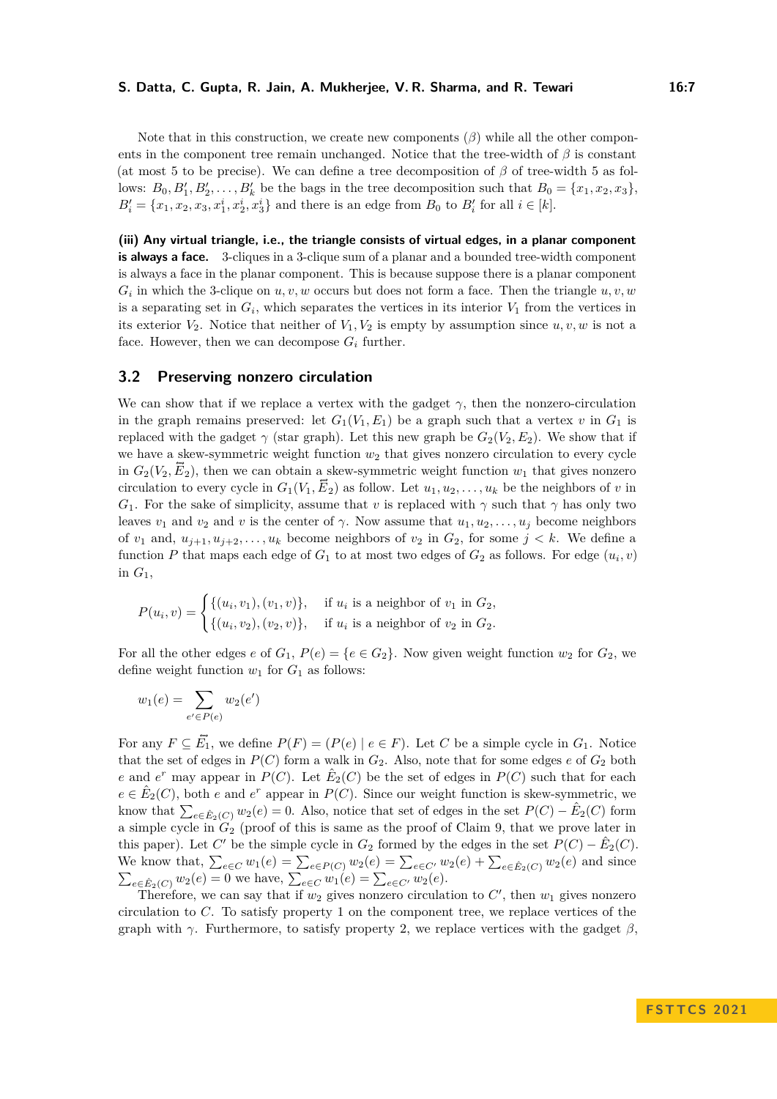Note that in this construction, we create new components  $(\beta)$  while all the other components in the component tree remain unchanged. Notice that the tree-width of *β* is constant (at most 5 to be precise). We can define a tree decomposition of *β* of tree-width 5 as follows:  $B_0, B'_1, B'_2, \ldots, B'_k$  be the bags in the tree decomposition such that  $B_0 = \{x_1, x_2, x_3\}$ ,  $B'_{i} = \{x_1, x_2, x_3, x_1^{i}, x_2^{i}, x_3^{i}\}$  and there is an edge from  $B_0$  to  $B'_{i}$  for all  $i \in [k]$ .

**(iii) Any virtual triangle, i.e., the triangle consists of virtual edges, in a planar component is always a face.** 3-cliques in a 3-clique sum of a planar and a bounded tree-width component is always a face in the planar component. This is because suppose there is a planar component  $G_i$  in which the 3-clique on  $u, v, w$  occurs but does not form a face. Then the triangle  $u, v, w$ is a separating set in  $G_i$ , which separates the vertices in its interior  $V_1$  from the vertices in its exterior  $V_2$ . Notice that neither of  $V_1, V_2$  is empty by assumption since  $u, v, w$  is not a face. However, then we can decompose  $G_i$  further.

#### **3.2 Preserving nonzero circulation**

We can show that if we replace a vertex with the gadget  $\gamma$ , then the nonzero-circulation in the graph remains preserved: let  $G_1(V_1, E_1)$  be a graph such that a vertex *v* in  $G_1$  is replaced with the gadget  $\gamma$  (star graph). Let this new graph be  $G_2(V_2, E_2)$ . We show that if we have a skew-symmetric weight function  $w_2$  that gives nonzero circulation to every cycle in  $G_2(V_2, \vec{E}_2)$ , then we can obtain a skew-symmetric weight function  $w_1$  that gives nonzero circulation to every cycle in  $G_1(V_1, \vec{E}_2)$  as follow. Let  $u_1, u_2, \ldots, u_k$  be the neighbors of *v* in *G*<sub>1</sub>. For the sake of simplicity, assume that *v* is replaced with  $\gamma$  such that  $\gamma$  has only two leaves  $v_1$  and  $v_2$  and  $v$  is the center of  $\gamma$ . Now assume that  $u_1, u_2, \ldots, u_j$  become neighbors of  $v_1$  and,  $u_{j+1}, u_{j+2}, \ldots, u_k$  become neighbors of  $v_2$  in  $G_2$ , for some  $j < k$ . We define a function  $P$  that maps each edge of  $G_1$  to at most two edges of  $G_2$  as follows. For edge  $(u_i, v)$ in  $G_1$ ,

$$
P(u_i, v) = \begin{cases} \{(u_i, v_1), (v_1, v)\}, & \text{if } u_i \text{ is a neighbor of } v_1 \text{ in } G_2, \\ \{(u_i, v_2), (v_2, v)\}, & \text{if } u_i \text{ is a neighbor of } v_2 \text{ in } G_2. \end{cases}
$$

For all the other edges *e* of  $G_1$ ,  $P(e) = \{e \in G_2\}$ . Now given weight function  $w_2$  for  $G_2$ , we define weight function  $w_1$  for  $G_1$  as follows:

$$
w_1(e) = \sum_{e' \in P(e)} w_2(e')
$$

For any  $F \subseteq \tilde{E_1}$ , we define  $P(F) = (P(e) | e \in F)$ . Let *C* be a simple cycle in  $G_1$ . Notice that the set of edges in  $P(C)$  form a walk in  $G_2$ . Also, note that for some edges  $e$  of  $G_2$  both *e* and *e*<sup>*r*</sup> may appear in *P*(*C*). Let  $\hat{E}_2(C)$  be the set of edges in *P*(*C*) such that for each  $e \in \hat{E}_2(C)$ , both *e* and  $e^r$  appear in  $P(C)$ . Since our weight function is skew-symmetric, we know that  $\sum_{e \in \hat{E}_2(C)} w_2(e) = 0$ . Also, notice that set of edges in the set  $P(C) - \hat{E}_2(C)$  form a simple cycle in  $G_2$  (proof of this is same as the proof of Claim [9,](#page-9-0) that we prove later in this paper). Let *C*' be the simple cycle in  $G_2$  formed by the edges in the set  $P(C) - \hat{E}_2(C)$ . We know that,  $\sum_{e \in C} w_1(e) = \sum_{e \in P(C)} w_2(e) = \sum_{e \in C'} w_2(e) + \sum_{e \in \hat{E}_2(C)} w_2(e)$  and since  $\sum_{e \in \hat{E}_2(C)} w_2(e) = 0$  we have,  $\sum_{e \in C} w_1(e) = \sum_{e \in C'} w_2(e)$ .

Therefore, we can say that if  $w_2$  gives nonzero circulation to  $C'$ , then  $w_1$  gives nonzero circulation to *C*. To satisfy property 1 on the component tree, we replace vertices of the graph with  $\gamma$ . Furthermore, to satisfy property 2, we replace vertices with the gadget  $\beta$ ,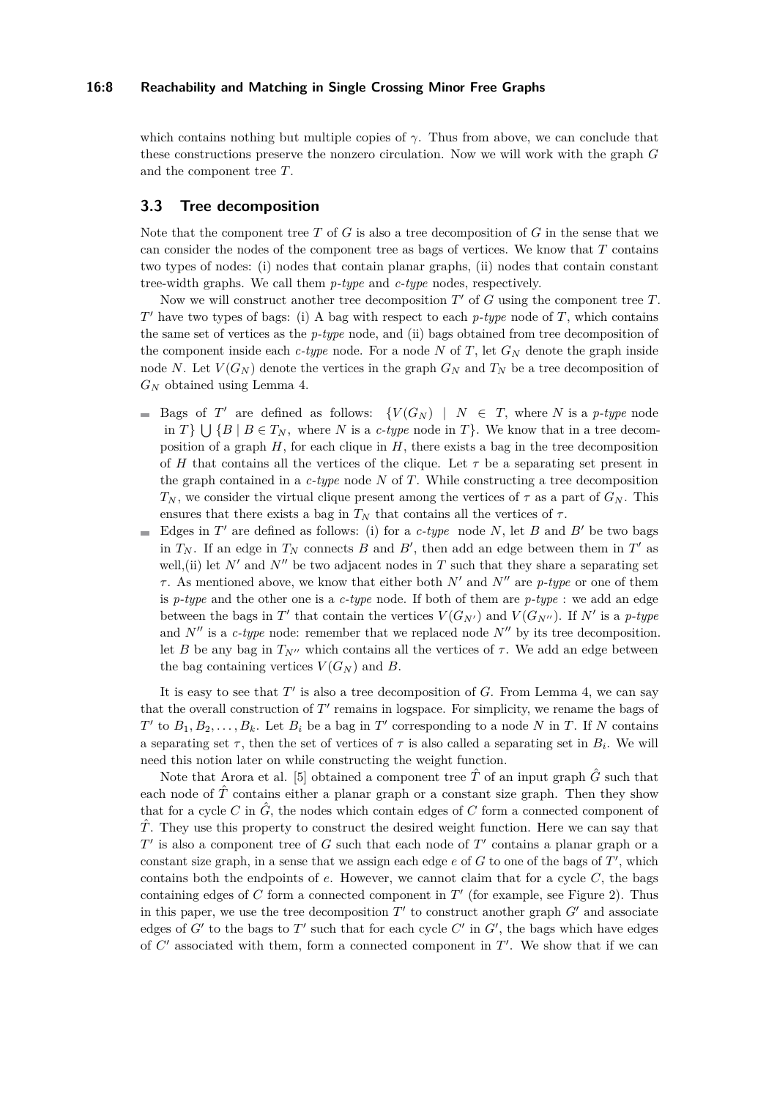#### **16:8 Reachability and Matching in Single Crossing Minor Free Graphs**

which contains nothing but multiple copies of  $\gamma$ . Thus from above, we can conclude that these constructions preserve the nonzero circulation. Now we will work with the graph *G* and the component tree *T*.

## **3.3 Tree decomposition**

Note that the component tree *T* of *G* is also a tree decomposition of *G* in the sense that we can consider the nodes of the component tree as bags of vertices. We know that *T* contains two types of nodes: (i) nodes that contain planar graphs, (ii) nodes that contain constant tree-width graphs. We call them *p-type* and *c-type* nodes, respectively.

Now we will construct another tree decomposition *T* ′ of *G* using the component tree *T*. *T* ′ have two types of bags: (i) A bag with respect to each *p-type* node of *T*, which contains the same set of vertices as the *p-type* node, and (ii) bags obtained from tree decomposition of the component inside each  $c$ -type node. For a node N of T, let  $G_N$  denote the graph inside node *N*. Let  $V(G_N)$  denote the vertices in the graph  $G_N$  and  $T_N$  be a tree decomposition of *G<sup>N</sup>* obtained using Lemma [4.](#page-3-0)

- Bags of *T*' are defined as follows:  $\{V(G_N) | N \in T, \text{ where } N \text{ is a } p\text{-type node}\}$ in *T*}  $\bigcup \{B \mid B \in T_N$ , where *N* is a *c-type* node in *T*}. We know that in a tree decomposition of a graph *H*, for each clique in *H*, there exists a bag in the tree decomposition of *H* that contains all the vertices of the clique. Let  $\tau$  be a separating set present in the graph contained in a *c-type* node *N* of *T*. While constructing a tree decomposition  $T_N$ , we consider the virtual clique present among the vertices of  $\tau$  as a part of  $G_N$ . This ensures that there exists a bag in  $T_N$  that contains all the vertices of  $\tau$ .
- Edges in  $T'$  are defined as follows: (i) for a  $c$ -type node  $N$ , let  $B$  and  $B'$  be two bags in  $T_N$ . If an edge in  $T_N$  connects  $B$  and  $B'$ , then add an edge between them in  $T'$  as well,(ii) let  $N'$  and  $N''$  be two adjacent nodes in  $T$  such that they share a separating set *τ* . As mentioned above, we know that either both *N*′ and *N*′′ are *p-type* or one of them is *p-type* and the other one is a *c-type* node. If both of them are *p-type* : we add an edge between the bags in  $T'$  that contain the vertices  $V(G_{N'})$  and  $V(G_{N''})$ . If  $N'$  is a p-type and  $N''$  is a *c-type* node: remember that we replaced node  $N''$  by its tree decomposition. let *B* be any bag in  $T_{N}$ <sup>'</sup> which contains all the vertices of  $\tau$ . We add an edge between the bag containing vertices  $V(G_N)$  and *B*.

It is easy to see that  $T'$  is also a tree decomposition of  $G$ . From Lemma [4,](#page-3-0) we can say that the overall construction of  $T'$  remains in logspace. For simplicity, we rename the bags of *T*<sup> $\prime$ </sup> to  $B_1, B_2, \ldots, B_k$ . Let  $B_i$  be a bag in *T*<sup> $\prime$ </sup> corresponding to a node *N* in *T*. If *N* contains a separating set  $\tau$ , then the set of vertices of  $\tau$  is also called a separating set in  $B_i$ . We will need this notion later on while constructing the weight function.

Note that Arora et al. [\[5\]](#page-14-7) obtained a component tree  $\hat{T}$  of an input graph  $\hat{G}$  such that each node of  $\hat{T}$  contains either a planar graph or a constant size graph. Then they show that for a cycle *C* in  $\hat{G}$ , the nodes which contain edges of *C* form a connected component of  $\hat{T}$ . They use this property to construct the desired weight function. Here we can say that *T*<sup> $\prime$ </sup> is also a component tree of *G* such that each node of *T*<sup> $\prime$ </sup> contains a planar graph or a constant size graph, in a sense that we assign each edge *e* of *G* to one of the bags of *T* ′ , which contains both the endpoints of *e*. However, we cannot claim that for a cycle *C*, the bags containing edges of  $C$  form a connected component in  $T'$  (for example, see Figure [2\)](#page-8-0). Thus in this paper, we use the tree decomposition  $T'$  to construct another graph  $G'$  and associate edges of  $G'$  to the bags to  $T'$  such that for each cycle  $C'$  in  $G'$ , the bags which have edges of  $C'$  associated with them, form a connected component in  $T'$ . We show that if we can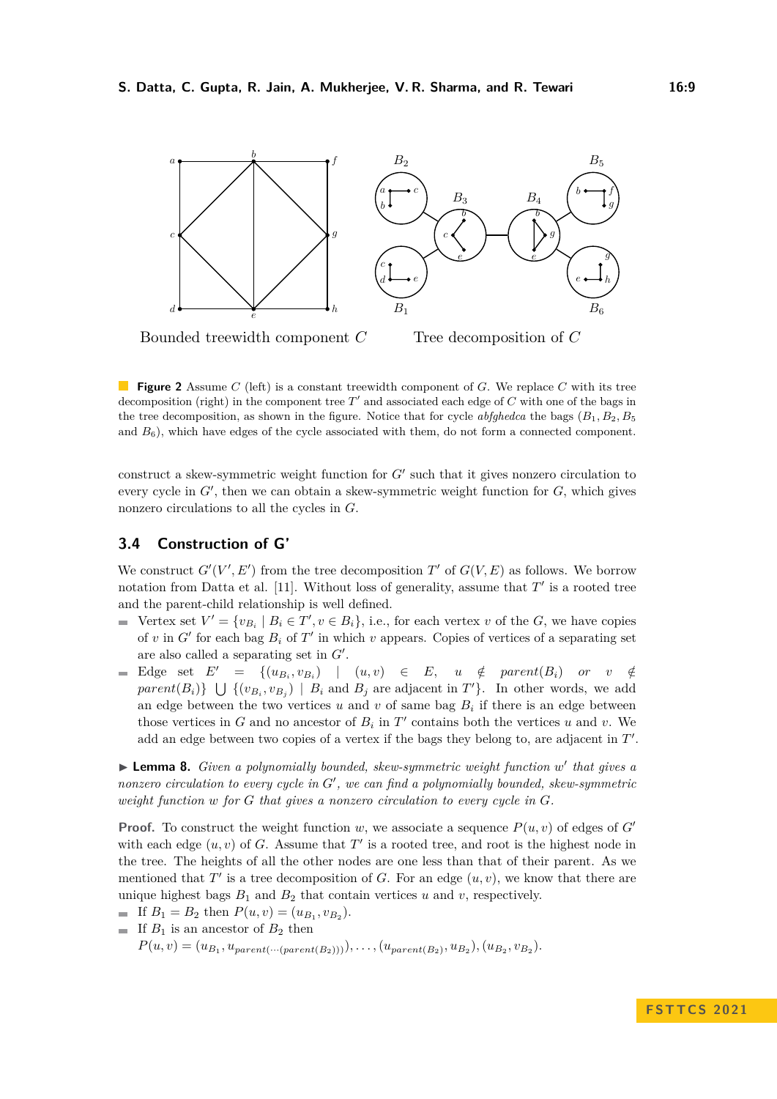<span id="page-8-0"></span>

**Figure 2** Assume *C* (left) is a constant treewidth component of *G*. We replace *C* with its tree decomposition (right) in the component tree *T* ′ and associated each edge of *C* with one of the bags in the tree decomposition, as shown in the figure. Notice that for cycle *abfghedca* the bags  $(B_1, B_2, B_5)$ and  $B_6$ ), which have edges of the cycle associated with them, do not form a connected component.

construct a skew-symmetric weight function for  $G'$  such that it gives nonzero circulation to every cycle in  $G'$ , then we can obtain a skew-symmetric weight function for  $G$ , which gives nonzero circulations to all the cycles in *G*.

## **3.4 Construction of G'**

We construct  $G'(V', E')$  from the tree decomposition  $T'$  of  $G(V, E)$  as follows. We borrow notation from Datta et al.  $[11]$ . Without loss of generality, assume that  $T'$  is a rooted tree and the parent-child relationship is well defined.

- Vertex set  $V' = \{v_{B_i} \mid B_i \in T', v \in B_i\}$ , i.e., for each vertex *v* of the *G*, we have copies of  $v$  in  $G'$  for each bag  $B_i$  of  $T'$  in which  $v$  appears. Copies of vertices of a separating set are also called a separating set in *G*′ .
- Edge set  $E' = \{(u_{B_i}, v_{B_i}) | (u, v) \in E, u \notin parent(B_i) \text{ or } v \notin I\}$ *parent*( $B_i$ )  $\}$   $\cup$  {( $v_{B_i}, v_{B_j}$ ) |  $B_i$  and  $B_j$  are adjacent in  $T'$ }. In other words, we add an edge between the two vertices  $u$  and  $v$  of same bag  $B_i$  if there is an edge between those vertices in  $G$  and no ancestor of  $B_i$  in  $T'$  contains both the vertices  $u$  and  $v$ . We add an edge between two copies of a vertex if the bags they belong to, are adjacent in  $T'$ .

<span id="page-8-1"></span>▶ **Lemma 8.** *Given a polynomially bounded, skew-symmetric weight function w'* that gives a *nonzero circulation to every cycle in G*′ *, we can find a polynomially bounded, skew-symmetric weight function w for G that gives a nonzero circulation to every cycle in G.*

**Proof.** To construct the weight function *w*, we associate a sequence  $P(u, v)$  of edges of *G*<sup> $\prime$ </sup> with each edge  $(u, v)$  of *G*. Assume that  $T'$  is a rooted tree, and root is the highest node in the tree. The heights of all the other nodes are one less than that of their parent. As we mentioned that  $T'$  is a tree decomposition of  $G$ . For an edge  $(u, v)$ , we know that there are unique highest bags  $B_1$  and  $B_2$  that contain vertices  $u$  and  $v$ , respectively.

If  $B_1 = B_2$  then  $P(u, v) = (u_{B_1}, v_{B_2})$ . If  $B_1$  is an ancestor of  $B_2$  then  $P(u, v) = (u_{B_1}, u_{parent(\cdots (parent(B_2))))}), \ldots, (u_{parent(B_2)}, u_{B_2}), (u_{B_2}, v_{B_2}).$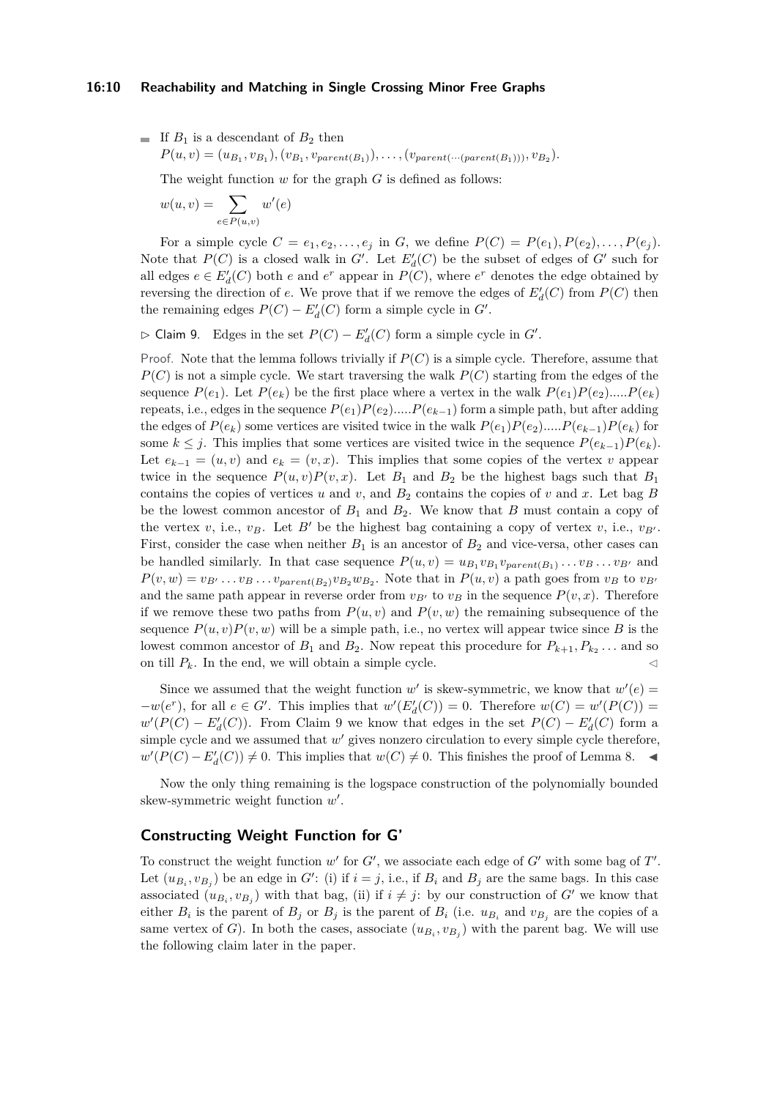$$
\quad \ \ \, \hbox{If $B_1$ is a descendant of $B_2$ then}
$$

 $P(u, v) = (u_{B_1}, v_{B_1}), (v_{B_1}, v_{parent(B_1)}), \ldots, (v_{parent(\cdots (parent(B_1))))}, v_{B_2}).$ 

The weight function *w* for the graph *G* is defined as follows:

$$
w(u,v) = \sum_{e \in P(u,v)} w'(e)
$$

For a simple cycle  $C = e_1, e_2, \ldots, e_j$  in *G*, we define  $P(C) = P(e_1), P(e_2), \ldots, P(e_j)$ . Note that  $P(C)$  is a closed walk in  $G'$ . Let  $E'_{d}(C)$  be the subset of edges of  $G'$  such for all edges  $e \in E_d'(C)$  both  $e$  and  $e^r$  appear in  $P(C)$ , where  $e^r$  denotes the edge obtained by reversing the direction of *e*. We prove that if we remove the edges of  $E'_{d}(C)$  from  $P(C)$  then the remaining edges  $P(C) - E_d'(C)$  form a simple cycle in  $G'$ .

<span id="page-9-0"></span> $\rhd$  Claim 9. Edges in the set  $P(C) - E'_d(C)$  form a simple cycle in  $G'$ .

Proof. Note that the lemma follows trivially if *P*(*C*) is a simple cycle. Therefore, assume that  $P(C)$  is not a simple cycle. We start traversing the walk  $P(C)$  starting from the edges of the sequence  $P(e_1)$ . Let  $P(e_k)$  be the first place where a vertex in the walk  $P(e_1)P(e_2)$ ..... $P(e_k)$ repeats, i.e., edges in the sequence  $P(e_1)P(e_2)$ ..... $P(e_{k-1})$  form a simple path, but after adding the edges of  $P(e_k)$  some vertices are visited twice in the walk  $P(e_1)P(e_2)$ *....*. $P(e_{k-1})P(e_k)$  for some  $k \leq j$ . This implies that some vertices are visited twice in the sequence  $P(e_{k-1})P(e_k)$ . Let  $e_{k-1} = (u, v)$  and  $e_k = (v, x)$ . This implies that some copies of the vertex v appear twice in the sequence  $P(u, v)P(v, x)$ . Let  $B_1$  and  $B_2$  be the highest bags such that  $B_1$ contains the copies of vertices  $u$  and  $v$ , and  $B_2$  contains the copies of  $v$  and  $x$ . Let bag  $B$ be the lowest common ancestor of  $B_1$  and  $B_2$ . We know that  $B$  must contain a copy of the vertex *v*, i.e., *v<sub>B</sub>*. Let *B'* be the highest bag containing a copy of vertex *v*, i.e.,  $v_{B'}$ . First, consider the case when neither  $B_1$  is an ancestor of  $B_2$  and vice-versa, other cases can be handled similarly. In that case sequence  $P(u, v) = u_{B_1}v_{B_1}v_{parent(B_1)}\dots v_{B} \dots v_{B'}$  and  $P(v, w) = v_{B'} \dots v_B \dots v_{parent(B_2)} v_{B_2} w_{B_2}$ . Note that in  $P(u, v)$  a path goes from  $v_B$  to  $v_{B'}$ and the same path appear in reverse order from  $v_{B'}$  to  $v_B$  in the sequence  $P(v, x)$ . Therefore if we remove these two paths from  $P(u, v)$  and  $P(v, w)$  the remaining subsequence of the sequence  $P(u, v)P(v, w)$  will be a simple path, i.e., no vertex will appear twice since *B* is the lowest common ancestor of  $B_1$  and  $B_2$ . Now repeat this procedure for  $P_{k+1}, P_{k_2} \ldots$  and so on till  $P_k$ . In the end, we will obtain a simple cycle.  $\triangleleft$ 

Since we assumed that the weight function  $w'$  is skew-symmetric, we know that  $w'(e)$  $-w(e^r)$ , for all  $e \in G'$ . This implies that  $w'(E'_d(C)) = 0$ . Therefore  $w(C) = w'(P(C)) = 0$  $w'(P(C) - E'_{d}(C))$ . From Claim [9](#page-9-0) we know that edges in the set  $P(C) - E'_{d}(C)$  form a simple cycle and we assumed that  $w'$  gives nonzero circulation to every simple cycle therefore, *w* ′ (*P*(*C*) − *E*′ *d* (*C*)) ̸= 0. This implies that *w*(*C*) ̸= 0. This finishes the proof of Lemma [8.](#page-8-1) ◀

Now the only thing remaining is the logspace construction of the polynomially bounded skew-symmetric weight function *w* ′ .

## **Constructing Weight Function for G'**

<span id="page-9-1"></span>To construct the weight function  $w'$  for  $G'$ , we associate each edge of  $G'$  with some bag of  $T'$ . Let  $(u_{B_i}, v_{B_j})$  be an edge in *G*': (i) if  $i = j$ , i.e., if  $B_i$  and  $B_j$  are the same bags. In this case associated  $(u_{B_i}, v_{B_j})$  with that bag, (ii) if  $i \neq j$ : by our construction of *G'* we know that either  $B_i$  is the parent of  $B_j$  or  $B_j$  is the parent of  $B_i$  (i.e.  $u_{B_i}$  and  $v_{B_j}$  are the copies of a same vertex of *G*). In both the cases, associate  $(u_{B_i}, v_{B_j})$  with the parent bag. We will use the following claim later in the paper.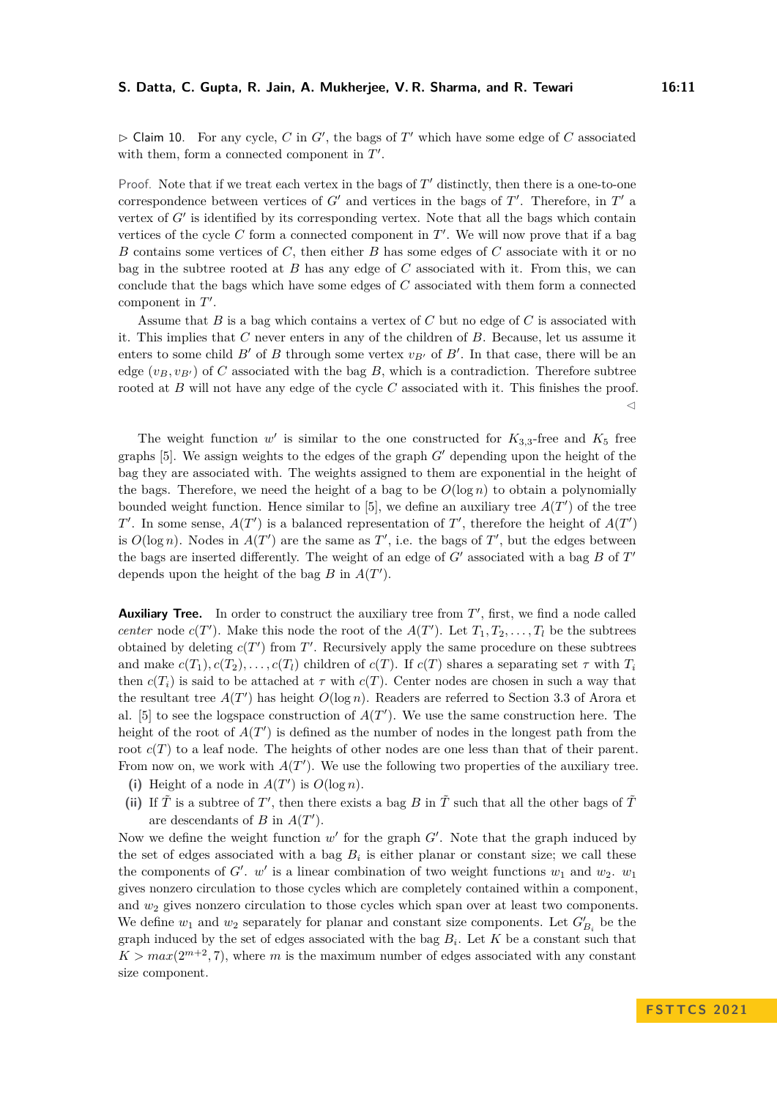$\triangleright$  Claim 10. For any cycle, *C* in *G'*, the bags of *T'* which have some edge of *C* associated with them, form a connected component in  $T'$ .

Proof. Note that if we treat each vertex in the bags of  $T'$  distinctly, then there is a one-to-one correspondence between vertices of  $G'$  and vertices in the bags of  $T'$ . Therefore, in  $T'$  a vertex of G' is identified by its corresponding vertex. Note that all the bags which contain vertices of the cycle  $C$  form a connected component in  $T'$ . We will now prove that if a bag *B* contains some vertices of *C*, then either *B* has some edges of *C* associate with it or no bag in the subtree rooted at *B* has any edge of *C* associated with it. From this, we can conclude that the bags which have some edges of *C* associated with them form a connected component in  $T'$ .

Assume that *B* is a bag which contains a vertex of *C* but no edge of *C* is associated with it. This implies that *C* never enters in any of the children of *B*. Because, let us assume it enters to some child  $B'$  of  $B$  through some vertex  $v_{B'}$  of  $B'$ . In that case, there will be an edge  $(v_B, v_{B'})$  of *C* associated with the bag *B*, which is a contradiction. Therefore subtree rooted at *B* will not have any edge of the cycle *C* associated with it. This finishes the proof. ◁

The weight function  $w'$  is similar to the one constructed for  $K_{3,3}$ -free and  $K_5$  free graphs [\[5\]](#page-14-7). We assign weights to the edges of the graph *G*′ depending upon the height of the bag they are associated with. The weights assigned to them are exponential in the height of the bags. Therefore, we need the height of a bag to be  $O(\log n)$  to obtain a polynomially bounded weight function. Hence similar to  $[5]$ , we define an auxiliary tree  $A(T')$  of the tree *T*<sup> $\prime$ </sup>. In some sense, *A*(*T*<sup> $\prime$ </sup>) is a balanced representation of *T*<sup> $\prime$ </sup>, therefore the height of *A*(*T*<sup> $\prime$ </sup>) is  $O(\log n)$ . Nodes in  $A(T')$  are the same as  $T'$ , i.e. the bags of  $T'$ , but the edges between the bags are inserted differently. The weight of an edge of *G*′ associated with a bag *B* of *T* ′ depends upon the height of the bag  $B$  in  $A(T')$ .

Auxiliary Tree. In order to construct the auxiliary tree from T', first, we find a node called *center* node  $c(T')$ . Make this node the root of the  $A(T')$ . Let  $T_1, T_2, \ldots, T_l$  be the subtrees obtained by deleting  $c(T')$  from  $T'$ . Recursively apply the same procedure on these subtrees and make  $c(T_1), c(T_2), \ldots, c(T_l)$  children of  $c(T)$ . If  $c(T)$  shares a separating set  $\tau$  with  $T_i$ then  $c(T_i)$  is said to be attached at  $\tau$  with  $c(T)$ . Center nodes are chosen in such a way that the resultant tree  $A(T')$  has height  $O(\log n)$ . Readers are referred to Section 3.3 of Arora et al. [\[5\]](#page-14-7) to see the logspace construction of  $A(T')$ . We use the same construction here. The height of the root of  $A(T')$  is defined as the number of nodes in the longest path from the root  $c(T)$  to a leaf node. The heights of other nodes are one less than that of their parent. From now on, we work with  $A(T')$ . We use the following two properties of the auxiliary tree.

- (i) Height of a node in  $A(T')$  is  $O(\log n)$ .
- (ii) If  $\tilde{T}$  is a subtree of  $T'$ , then there exists a bag  $B$  in  $\tilde{T}$  such that all the other bags of  $\tilde{T}$ are descendants of *B* in  $A(T')$ .

Now we define the weight function  $w'$  for the graph  $G'$ . Note that the graph induced by the set of edges associated with a bag  $B_i$  is either planar or constant size; we call these the components of  $G'$ .  $w'$  is a linear combination of two weight functions  $w_1$  and  $w_2$ .  $w_1$ gives nonzero circulation to those cycles which are completely contained within a component, and *w*<sup>2</sup> gives nonzero circulation to those cycles which span over at least two components. We define  $w_1$  and  $w_2$  separately for planar and constant size components. Let  $G'_{B_i}$  be the graph induced by the set of edges associated with the bag *B<sup>i</sup>* . Let *K* be a constant such that  $K > max(2^{m+2}, 7)$ , where *m* is the maximum number of edges associated with any constant size component.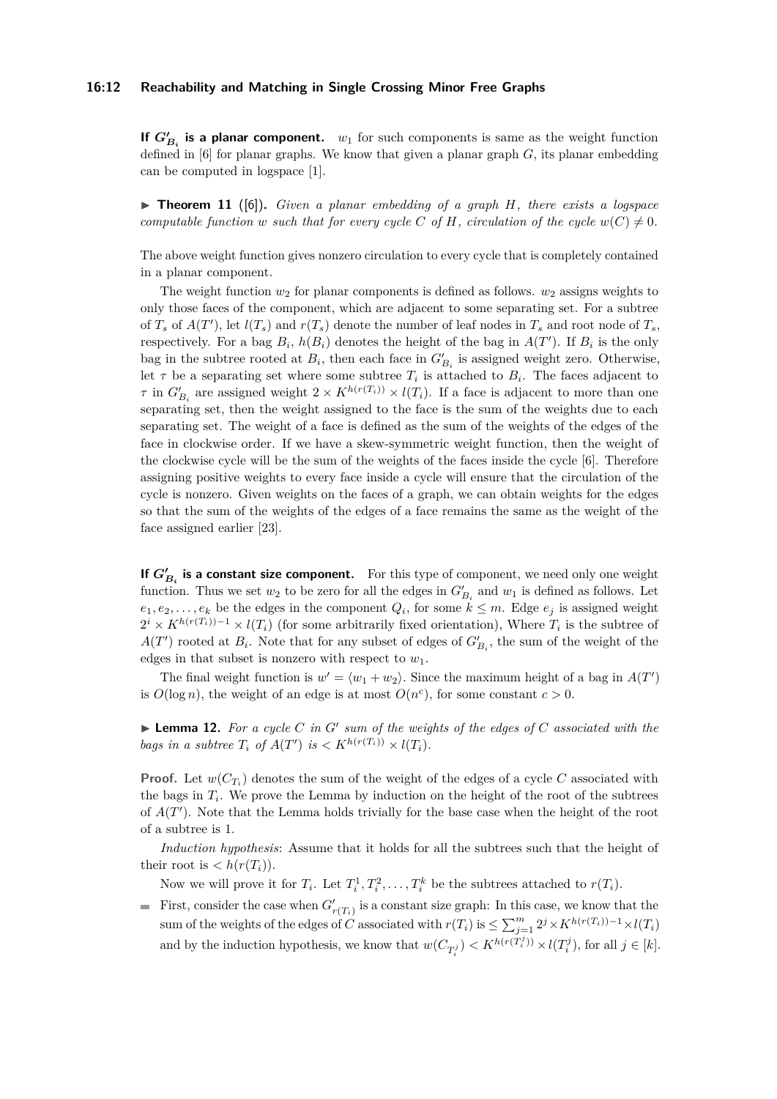#### **16:12 Reachability and Matching in Single Crossing Minor Free Graphs**

**If**  $G'_{B_i}$  is a planar component.  $w_1$  for such components is same as the weight function defined in [\[6\]](#page-14-4) for planar graphs. We know that given a planar graph *G*, its planar embedding can be computed in logspace [\[1\]](#page-13-4).

▶ **Theorem 11** ([\[6\]](#page-14-4))**.** *Given a planar embedding of a graph H, there exists a logspace computable function w such that for every cycle C* of *H, circulation of the cycle*  $w(C) \neq 0$ *.* 

The above weight function gives nonzero circulation to every cycle that is completely contained in a planar component.

The weight function  $w_2$  for planar components is defined as follows.  $w_2$  assigns weights to only those faces of the component, which are adjacent to some separating set. For a subtree of  $T_s$  of  $A(T')$ , let  $l(T_s)$  and  $r(T_s)$  denote the number of leaf nodes in  $T_s$  and root node of  $T_s$ , respectively. For a bag  $B_i$ ,  $h(B_i)$  denotes the height of the bag in  $A(T')$ . If  $B_i$  is the only bag in the subtree rooted at  $B_i$ , then each face in  $G'_{B_i}$  is assigned weight zero. Otherwise, let  $\tau$  be a separating set where some subtree  $T_i$  is attached to  $B_i$ . The faces adjacent to *τ* in  $G'_{B_i}$  are assigned weight  $2 \times K^{h(r(T_i))} \times l(T_i)$ . If a face is adjacent to more than one separating set, then the weight assigned to the face is the sum of the weights due to each separating set. The weight of a face is defined as the sum of the weights of the edges of the face in clockwise order. If we have a skew-symmetric weight function, then the weight of the clockwise cycle will be the sum of the weights of the faces inside the cycle [\[6\]](#page-14-4). Therefore assigning positive weights to every face inside a cycle will ensure that the circulation of the cycle is nonzero. Given weights on the faces of a graph, we can obtain weights for the edges so that the sum of the weights of the edges of a face remains the same as the weight of the face assigned earlier [\[23\]](#page-15-14).

**If**  $G'_{B_i}$  is a constant size component. For this type of component, we need only one weight function. Thus we set  $w_2$  to be zero for all the edges in  $G'_{B_i}$  and  $w_1$  is defined as follows. Let  $e_1, e_2, \ldots, e_k$  be the edges in the component  $Q_i$ , for some  $k \leq m$ . Edge  $e_j$  is assigned weight  $2^{i} \times K^{h(r(T_i))-1} \times l(T_i)$  (for some arbitrarily fixed orientation), Where  $T_i$  is the subtree of  $A(T')$  rooted at  $B_i$ . Note that for any subset of edges of  $G'_{B_i}$ , the sum of the weight of the edges in that subset is nonzero with respect to *w*1.

The final weight function is  $w' = \langle w_1 + w_2 \rangle$ . Since the maximum height of a bag in  $A(T')$ is  $O(\log n)$ , the weight of an edge is at most  $O(n^c)$ , for some constant  $c > 0$ .

<span id="page-11-0"></span> $\blacktriangleright$  **Lemma 12.** For a cycle C in G' sum of the weights of the edges of C associated with the *bags in a subtree*  $T_i$  *of*  $A(T')$  *is*  $\langle K^{h(r(T_i))} \times l(T_i) \rangle$ .

**Proof.** Let  $w(C_{T_i})$  denotes the sum of the weight of the edges of a cycle C associated with the bags in  $T_i$ . We prove the Lemma by induction on the height of the root of the subtrees of  $A(T')$ . Note that the Lemma holds trivially for the base case when the height of the root of a subtree is 1.

*Induction hypothesis*: Assume that it holds for all the subtrees such that the height of their root is  $\langle h(r(T_i)) \rangle$ .

Now we will prove it for  $T_i$ . Let  $T_i^1, T_i^2, \ldots, T_i^k$  be the subtrees attached to  $r(T_i)$ .

First, consider the case when  $G'_{r(T_i)}$  is a constant size graph: In this case, we know that the sum of the weights of the edges of *C* associated with  $r(T_i)$  is  $\leq \sum_{j=1}^{m} 2^j \times K^{h(r(T_i))-1} \times l(T_i)$ and by the induction hypothesis, we know that  $w(C_{T_i^j}) < K^{h(r(T_i^j))} \times l(T_i^j)$ , for all  $j \in [k]$ .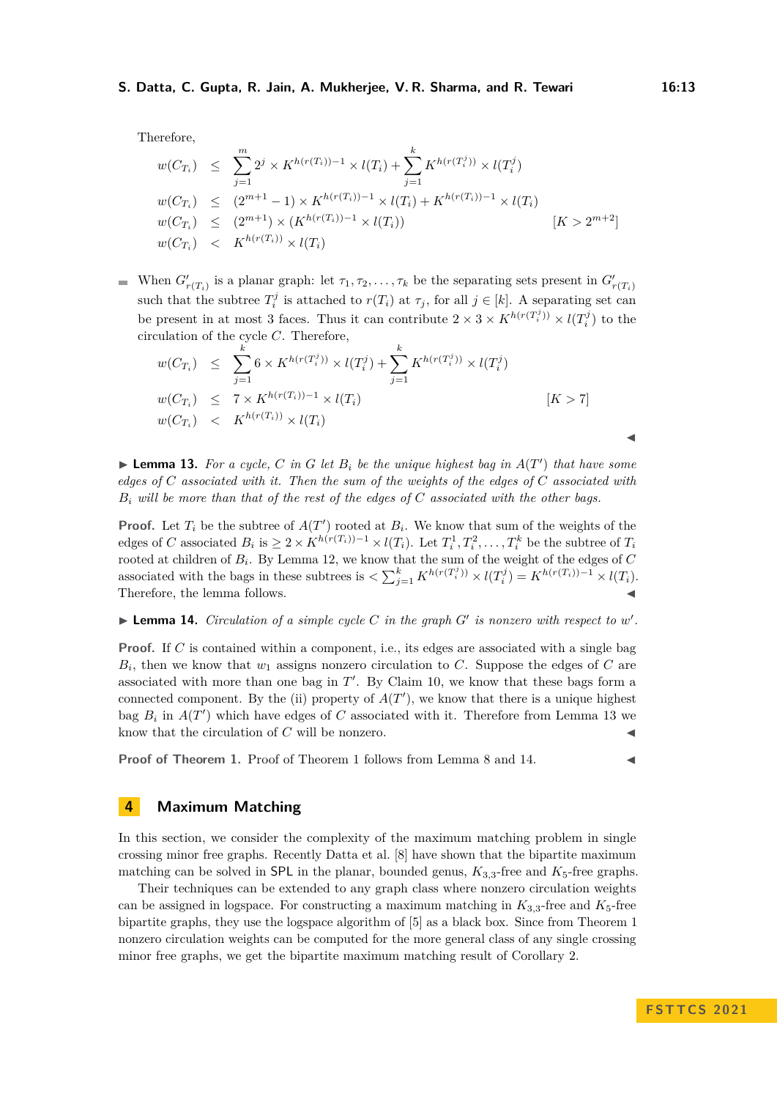Therefore,

$$
w(C_{T_i}) \leq \sum_{j=1}^m 2^j \times K^{h(r(T_i))-1} \times l(T_i) + \sum_{j=1}^k K^{h(r(T_i^j))} \times l(T_i^j)
$$
  
\n
$$
w(C_{T_i}) \leq (2^{m+1}-1) \times K^{h(r(T_i))-1} \times l(T_i) + K^{h(r(T_i))-1} \times l(T_i)
$$
  
\n
$$
w(C_{T_i}) \leq (2^{m+1}) \times (K^{h(r(T_i))-1} \times l(T_i)) \qquad [K > 2^{m+2}]
$$
  
\n
$$
w(C_{T_i}) \leq K^{h(r(T_i))} \times l(T_i)
$$

When  $G'_{r(T_i)}$  is a planar graph: let  $\tau_1, \tau_2, \ldots, \tau_k$  be the separating sets present in  $G'_{r(T_i)}$ such that the subtree  $T_i^j$  is attached to  $r(T_i)$  at  $\tau_j$ , for all  $j \in [k]$ . A separating set can be present in at most 3 faces. Thus it can contribute  $2 \times 3 \times K^{h(r(T_i^j))} \times l(T_i^j)$  to the circulation of the cycle *C*. Therefore,

$$
w(C_{T_i}) \leq \sum_{j=1}^k 6 \times K^{h(r(T_i^j))} \times l(T_i^j) + \sum_{j=1}^k K^{h(r(T_i^j))} \times l(T_i^j)
$$
  
\n
$$
w(C_{T_i}) \leq 7 \times K^{h(r(T_i))-1} \times l(T_i)
$$
  
\n
$$
w(C_{T_i}) \leq K^{h(r(T_i))} \times l(T_i)
$$
  
\n
$$
[K > 7]
$$

<span id="page-12-1"></span> $\blacktriangleright$  **Lemma 13.** For a cycle, C in G let  $B_i$  be the unique highest bag in  $A(T')$  that have some *edges of C associated with it. Then the sum of the weights of the edges of C associated with B<sup>i</sup> will be more than that of the rest of the edges of C associated with the other bags.*

**Proof.** Let  $T_i$  be the subtree of  $A(T')$  rooted at  $B_i$ . We know that sum of the weights of the edges of C associated  $B_i$  is  $\geq 2 \times K^{h(r(T_i))-1} \times l(T_i)$ . Let  $T_i^1, T_i^2, \ldots, T_i^k$  be the subtree of  $T_i$ rooted at children of *B<sup>i</sup>* . By Lemma [12,](#page-11-0) we know that the sum of the weight of the edges of *C* associated with the bags in these subtrees is  $\langle \sum_{j=1}^k K^{h(r(T_i^j))} \times l(T_i^j) = K^{h(r(T_i))-1} \times l(T_i)$ . Therefore, the lemma follows.  $\blacktriangleleft$ 

<span id="page-12-2"></span> $\blacktriangleright$  **Lemma 14.** *Circulation of a simple cycle C in the graph G' is nonzero with respect to*  $w'$ *.* 

**Proof.** If *C* is contained within a component, i.e., its edges are associated with a single bag *Bi* , then we know that *w*<sup>1</sup> assigns nonzero circulation to *C*. Suppose the edges of *C* are associated with more than one bag in  $T'$ . By Claim [10,](#page-9-1) we know that these bags form a connected component. By the (ii) property of  $A(T')$ , we know that there is a unique highest bag  $B_i$  in  $A(T')$  which have edges of  $C$  associated with it. Therefore from Lemma [13](#page-12-1) we know that the circulation of  $C$  will be nonzero.  $\blacktriangleleft$ 

**Proof of Theorem [1.](#page-1-0)** Proof of Theorem [1](#page-1-0) follows from Lemma [8](#page-8-1) and [14.](#page-12-2)

## <span id="page-12-0"></span>**4 Maximum Matching**

In this section, we consider the complexity of the maximum matching problem in single crossing minor free graphs. Recently Datta et al. [\[8\]](#page-14-14) have shown that the bipartite maximum matching can be solved in SPL in the planar, bounded genus,  $K_{3,3}$ -free and  $K_5$ -free graphs.

Their techniques can be extended to any graph class where nonzero circulation weights can be assigned in logspace. For constructing a maximum matching in  $K_{3,3}$ -free and  $K_5$ -free bipartite graphs, they use the logspace algorithm of [\[5\]](#page-14-7) as a black box. Since from Theorem [1](#page-1-0) nonzero circulation weights can be computed for the more general class of any single crossing minor free graphs, we get the bipartite maximum matching result of Corollary [2.](#page-1-1)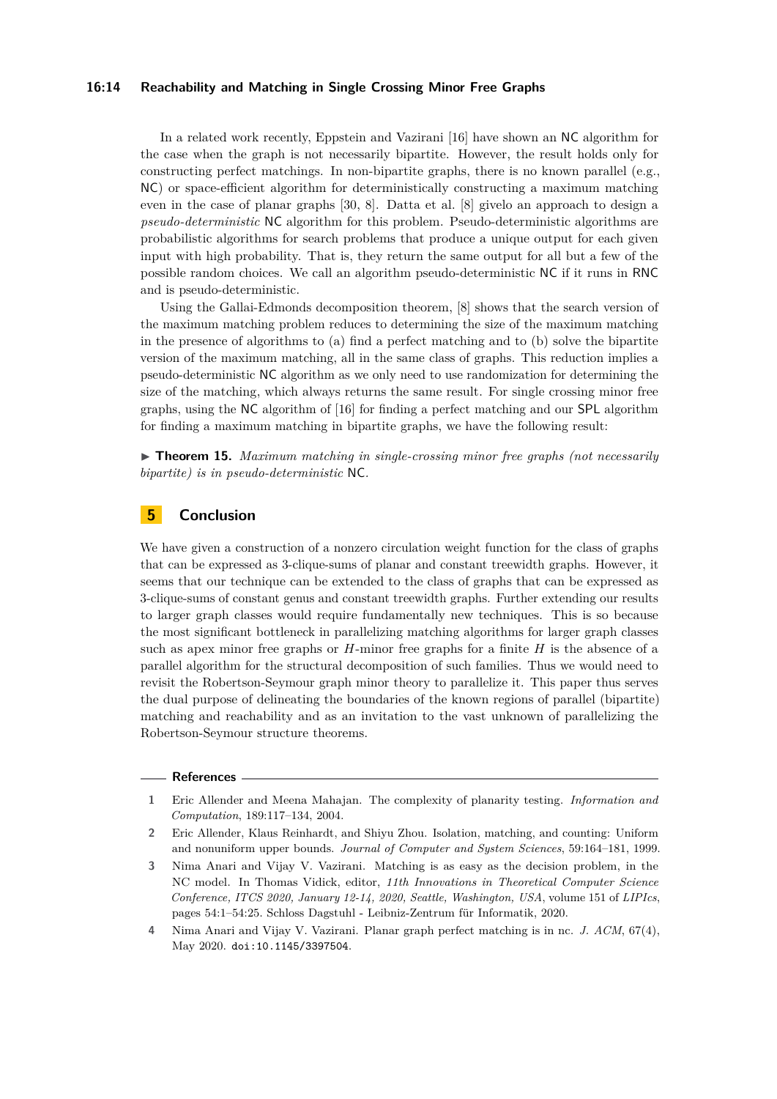#### **16:14 Reachability and Matching in Single Crossing Minor Free Graphs**

In a related work recently, Eppstein and Vazirani [\[16\]](#page-14-0) have shown an NC algorithm for the case when the graph is not necessarily bipartite. However, the result holds only for constructing perfect matchings. In non-bipartite graphs, there is no known parallel (e.g., NC) or space-efficient algorithm for deterministically constructing a maximum matching even in the case of planar graphs [\[30,](#page-15-8) [8\]](#page-14-14). Datta et al. [\[8\]](#page-14-14) givelo an approach to design a *pseudo-deterministic* NC algorithm for this problem. Pseudo-deterministic algorithms are probabilistic algorithms for search problems that produce a unique output for each given input with high probability. That is, they return the same output for all but a few of the possible random choices. We call an algorithm pseudo-deterministic NC if it runs in RNC and is pseudo-deterministic.

Using the Gallai-Edmonds decomposition theorem, [\[8\]](#page-14-14) shows that the search version of the maximum matching problem reduces to determining the size of the maximum matching in the presence of algorithms to (a) find a perfect matching and to (b) solve the bipartite version of the maximum matching, all in the same class of graphs. This reduction implies a pseudo-deterministic NC algorithm as we only need to use randomization for determining the size of the matching, which always returns the same result. For single crossing minor free graphs, using the NC algorithm of [\[16\]](#page-14-0) for finding a perfect matching and our SPL algorithm for finding a maximum matching in bipartite graphs, we have the following result:

▶ **Theorem 15.** *Maximum matching in single-crossing minor free graphs (not necessarily bipartite) is in pseudo-deterministic* NC*.*

# <span id="page-13-3"></span>**5 Conclusion**

We have given a construction of a nonzero circulation weight function for the class of graphs that can be expressed as 3-clique-sums of planar and constant treewidth graphs. However, it seems that our technique can be extended to the class of graphs that can be expressed as 3-clique-sums of constant genus and constant treewidth graphs. Further extending our results to larger graph classes would require fundamentally new techniques. This is so because the most significant bottleneck in parallelizing matching algorithms for larger graph classes such as apex minor free graphs or *H*-minor free graphs for a finite *H* is the absence of a parallel algorithm for the structural decomposition of such families. Thus we would need to revisit the Robertson-Seymour graph minor theory to parallelize it. This paper thus serves the dual purpose of delineating the boundaries of the known regions of parallel (bipartite) matching and reachability and as an invitation to the vast unknown of parallelizing the Robertson-Seymour structure theorems.

#### **References**

- <span id="page-13-4"></span>**1** Eric Allender and Meena Mahajan. The complexity of planarity testing. *Information and Computation*, 189:117–134, 2004.
- <span id="page-13-0"></span>**2** Eric Allender, Klaus Reinhardt, and Shiyu Zhou. Isolation, matching, and counting: Uniform and nonuniform upper bounds. *Journal of Computer and System Sciences*, 59:164–181, 1999.
- <span id="page-13-2"></span>**3** Nima Anari and Vijay V. Vazirani. Matching is as easy as the decision problem, in the NC model. In Thomas Vidick, editor, *11th Innovations in Theoretical Computer Science Conference, ITCS 2020, January 12-14, 2020, Seattle, Washington, USA*, volume 151 of *LIPIcs*, pages 54:1–54:25. Schloss Dagstuhl - Leibniz-Zentrum für Informatik, 2020.
- <span id="page-13-1"></span>**4** Nima Anari and Vijay V. Vazirani. Planar graph perfect matching is in nc. *J. ACM*, 67(4), May 2020. [doi:10.1145/3397504](https://doi.org/10.1145/3397504).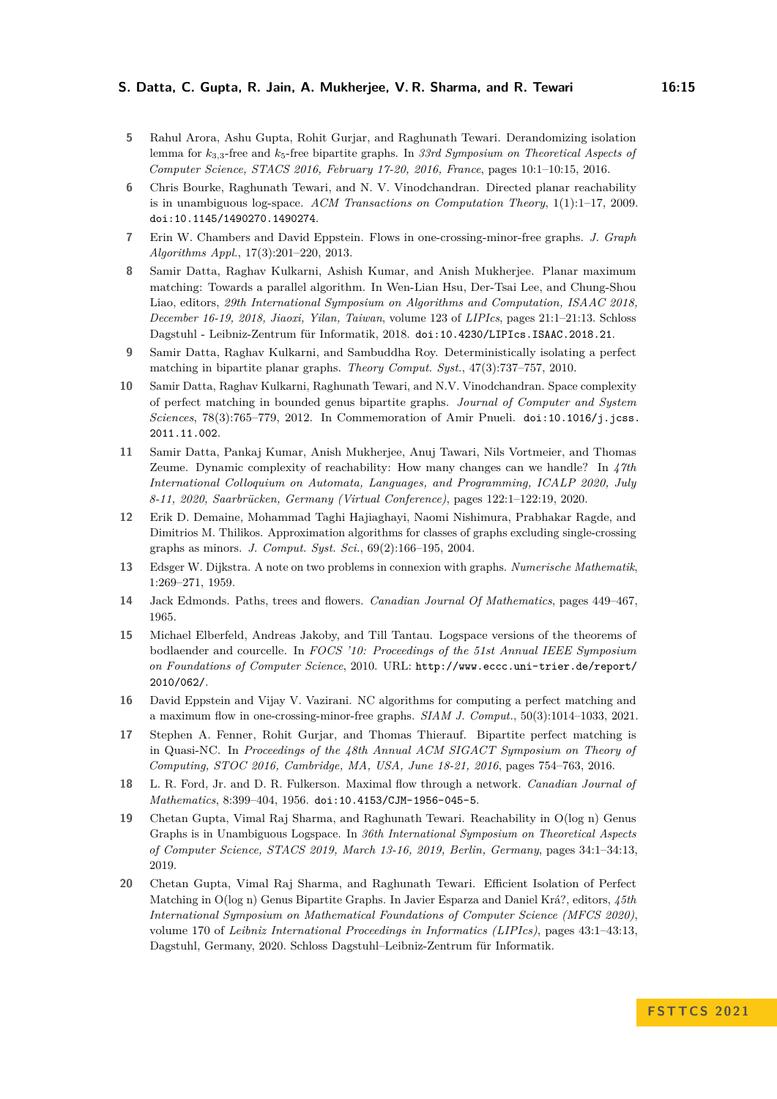- <span id="page-14-7"></span>**5** Rahul Arora, Ashu Gupta, Rohit Gurjar, and Raghunath Tewari. Derandomizing isolation lemma for *k*3*,*3-free and *k*5-free bipartite graphs. In *33rd Symposium on Theoretical Aspects of Computer Science, STACS 2016, February 17-20, 2016, France*, pages 10:1–10:15, 2016.
- <span id="page-14-4"></span>**6** Chris Bourke, Raghunath Tewari, and N. V. Vinodchandran. Directed planar reachability is in unambiguous log-space. *ACM Transactions on Computation Theory*, 1(1):1–17, 2009. [doi:10.1145/1490270.1490274](https://doi.org/10.1145/1490270.1490274).
- <span id="page-14-12"></span>**7** Erin W. Chambers and David Eppstein. Flows in one-crossing-minor-free graphs. *J. Graph Algorithms Appl.*, 17(3):201–220, 2013.
- <span id="page-14-14"></span>**8** Samir Datta, Raghav Kulkarni, Ashish Kumar, and Anish Mukherjee. Planar maximum matching: Towards a parallel algorithm. In Wen-Lian Hsu, Der-Tsai Lee, and Chung-Shou Liao, editors, *29th International Symposium on Algorithms and Computation, ISAAC 2018, December 16-19, 2018, Jiaoxi, Yilan, Taiwan*, volume 123 of *LIPIcs*, pages 21:1–21:13. Schloss Dagstuhl - Leibniz-Zentrum für Informatik, 2018. [doi:10.4230/LIPIcs.ISAAC.2018.21](https://doi.org/10.4230/LIPIcs.ISAAC.2018.21).
- <span id="page-14-5"></span>**9** Samir Datta, Raghav Kulkarni, and Sambuddha Roy. Deterministically isolating a perfect matching in bipartite planar graphs. *Theory Comput. Syst.*, 47(3):737–757, 2010.
- <span id="page-14-6"></span>**10** Samir Datta, Raghav Kulkarni, Raghunath Tewari, and N.V. Vinodchandran. Space complexity of perfect matching in bounded genus bipartite graphs. *Journal of Computer and System Sciences*, 78(3):765–779, 2012. In Commemoration of Amir Pnueli. [doi:10.1016/j.jcss.](https://doi.org/10.1016/j.jcss.2011.11.002) [2011.11.002](https://doi.org/10.1016/j.jcss.2011.11.002).
- <span id="page-14-11"></span>**11** Samir Datta, Pankaj Kumar, Anish Mukherjee, Anuj Tawari, Nils Vortmeier, and Thomas Zeume. Dynamic complexity of reachability: How many changes can we handle? In *47th International Colloquium on Automata, Languages, and Programming, ICALP 2020, July 8-11, 2020, Saarbrücken, Germany (Virtual Conference)*, pages 122:1–122:19, 2020.
- <span id="page-14-13"></span>**12** Erik D. Demaine, Mohammad Taghi Hajiaghayi, Naomi Nishimura, Prabhakar Ragde, and Dimitrios M. Thilikos. Approximation algorithms for classes of graphs excluding single-crossing graphs as minors. *J. Comput. Syst. Sci.*, 69(2):166–195, 2004.
- <span id="page-14-2"></span>**13** Edsger W. Dijkstra. A note on two problems in connexion with graphs. *Numerische Mathematik*, 1:269–271, 1959.
- <span id="page-14-3"></span>**14** Jack Edmonds. Paths, trees and flowers. *Canadian Journal Of Mathematics*, pages 449–467, 1965.
- <span id="page-14-15"></span>**15** Michael Elberfeld, Andreas Jakoby, and Till Tantau. Logspace versions of the theorems of bodlaender and courcelle. In *FOCS '10: Proceedings of the 51st Annual IEEE Symposium on Foundations of Computer Science*, 2010. URL: [http://www.eccc.uni-trier.de/report/](http://www.eccc.uni-trier.de/report/2010/062/) [2010/062/](http://www.eccc.uni-trier.de/report/2010/062/).
- <span id="page-14-0"></span>**16** David Eppstein and Vijay V. Vazirani. NC algorithms for computing a perfect matching and a maximum flow in one-crossing-minor-free graphs. *SIAM J. Comput.*, 50(3):1014–1033, 2021.
- <span id="page-14-10"></span>**17** Stephen A. Fenner, Rohit Gurjar, and Thomas Thierauf. Bipartite perfect matching is in Quasi-NC. In *Proceedings of the 48th Annual ACM SIGACT Symposium on Theory of Computing, STOC 2016, Cambridge, MA, USA, June 18-21, 2016*, pages 754–763, 2016.
- <span id="page-14-1"></span>**18** L. R. Ford, Jr. and D. R. Fulkerson. Maximal flow through a network. *Canadian Journal of Mathematics*, 8:399–404, 1956. [doi:10.4153/CJM-1956-045-5](https://doi.org/10.4153/CJM-1956-045-5).
- <span id="page-14-8"></span>**19** Chetan Gupta, Vimal Raj Sharma, and Raghunath Tewari. Reachability in O(log n) Genus Graphs is in Unambiguous Logspace. In *36th International Symposium on Theoretical Aspects of Computer Science, STACS 2019, March 13-16, 2019, Berlin, Germany*, pages 34:1–34:13, 2019.
- <span id="page-14-9"></span>**20** Chetan Gupta, Vimal Raj Sharma, and Raghunath Tewari. Efficient Isolation of Perfect Matching in O(log n) Genus Bipartite Graphs. In Javier Esparza and Daniel Krá?, editors, *45th International Symposium on Mathematical Foundations of Computer Science (MFCS 2020)*, volume 170 of *Leibniz International Proceedings in Informatics (LIPIcs)*, pages 43:1–43:13, Dagstuhl, Germany, 2020. Schloss Dagstuhl–Leibniz-Zentrum für Informatik.